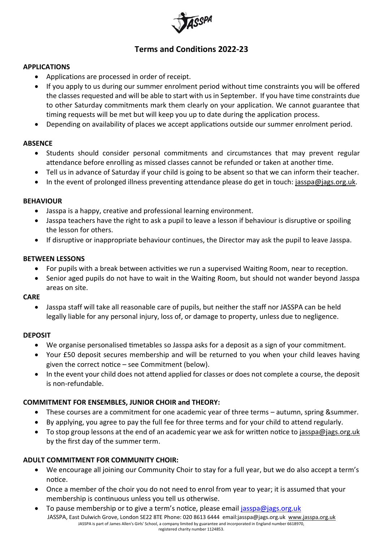

# **Terms and Conditions 2022-23**

## **APPLICATIONS**

- Applications are processed in order of receipt.
- If you apply to us during our summer enrolment period without time constraints you will be offered the classes requested and will be able to start with us in September. If you have time constraints due to other Saturday commitments mark them clearly on your application. We cannot guarantee that timing requests will be met but will keep you up to date during the application process.
- Depending on availability of places we accept applications outside our summer enrolment period.

## **ABSENCE**

- Students should consider personal commitments and circumstances that may prevent regular attendance before enrolling as missed classes cannot be refunded or taken at another time.
- Tell us in advance of Saturday if your child is going to be absent so that we can inform their teacher.
- In the event of prolonged illness preventing attendance please do get in touch: [jasspa@jags.org.uk.](mailto:jasspa@jags.org.uk)

## **BEHAVIOUR**

- Jasspa is a happy, creative and professional learning environment.
- Jasspa teachers have the right to ask a pupil to leave a lesson if behaviour is disruptive or spoiling the lesson for others.
- If disruptive or inappropriate behaviour continues, the Director may ask the pupil to leave Jasspa.

## **BETWEEN LESSONS**

- For pupils with a break between activities we run a supervised Waiting Room, near to reception.
- Senior aged pupils do not have to wait in the Waiting Room, but should not wander beyond Jasspa areas on site.

## **CARE**

• Jasspa staff will take all reasonable care of pupils, but neither the staff nor JASSPA can be held legally liable for any personal injury, loss of, or damage to property, unless due to negligence.

## **DEPOSIT**

- We organise personalised timetables so Jasspa asks for a deposit as a sign of your commitment.
- Your £50 deposit secures membership and will be returned to you when your child leaves having given the correct notice – see Commitment (below).
- In the event your child does not attend applied for classes or does not complete a course, the deposit is non-refundable.

# **COMMITMENT FOR ENSEMBLES, JUNIOR CHOIR and THEORY:**

- These courses are a commitment for one academic year of three terms autumn, spring &summer.
- By applying, you agree to pay the full fee for three terms and for your child to attend regularly.
- To stop group lessons at the end of an academic year we ask for written notice t[o jasspa@jags.org.uk](mailto:jasspa@jags.org.uk) by the first day of the summer term.

# **ADULT COMMITMENT FOR COMMUNITY CHOIR:**

- We encourage all joining our Community Choir to stay for a full year, but we do also accept a term's notice.
- Once a member of the choir you do not need to enrol from year to year; it is assumed that your membership is continuous unless you tell us otherwise.
- JASSPA, East Dulwich Grove, London SE22 8TE Phone: 020 8613 6444 emai[l:jasspa@jags.org.uk](mailto:jasspa@jags.org.uk) [www.jasspa.org.uk](http://www.jasspa.org.uk/) JASSPA is part of James Allen's Girls' School, a company limited by guarantee and incorporated in England number 6618970, registered charity number 1124853. • To pause membership or to give a term's notice, please email [jasspa@jags.org.uk](mailto:jasspa@jags.org.uk)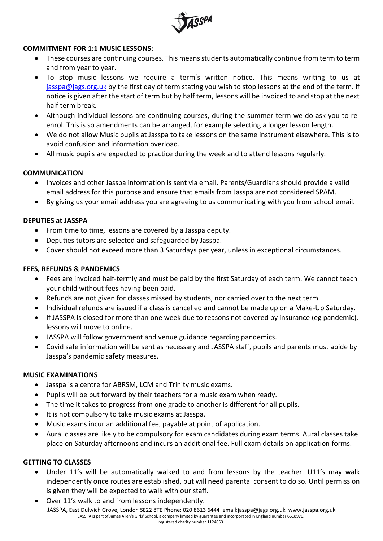

## **COMMITMENT FOR 1:1 MUSIC LESSONS:**

- These courses are continuing courses. This means students automatically continue from term to term and from year to year.
- To stop music lessons we require a term's written notice. This means writing to us at [jasspa@jags.org.uk](mailto:jasspa@jags.org.uk) by the first day of term stating you wish to stop lessons at the end of the term. If notice is given after the start of term but by half term, lessons will be invoiced to and stop at the next half term break.
- Although individual lessons are continuing courses, during the summer term we do ask you to reenrol. This is so amendments can be arranged, for example selecting a longer lesson length.
- We do not allow Music pupils at Jasspa to take lessons on the same instrument elsewhere. This is to avoid confusion and information overload.
- All music pupils are expected to practice during the week and to attend lessons regularly.

## **COMMUNICATION**

- Invoices and other Jasspa information is sent via email. Parents/Guardians should provide a valid email address for this purpose and ensure that emails from Jasspa are not considered SPAM.
- By giving us your email address you are agreeing to us communicating with you from school email.

## **DEPUTIES at JASSPA**

- From time to time, lessons are covered by a Jasspa deputy.
- Deputies tutors are selected and safeguarded by Jasspa.
- Cover should not exceed more than 3 Saturdays per year, unless in exceptional circumstances.

## **FEES, REFUNDS & PANDEMICS**

- Fees are invoiced half-termly and must be paid by the first Saturday of each term. We cannot teach your child without fees having been paid.
- Refunds are not given for classes missed by students, nor carried over to the next term.
- Individual refunds are issued if a class is cancelled and cannot be made up on a Make-Up Saturday.
- If JASSPA is closed for more than one week due to reasons not covered by insurance (eg pandemic), lessons will move to online.
- JASSPA will follow government and venue guidance regarding pandemics.
- Covid safe information will be sent as necessary and JASSPA staff, pupils and parents must abide by Jasspa's pandemic safety measures.

## **MUSIC EXAMINATIONS**

- Jasspa is a centre for ABRSM, LCM and Trinity music exams.
- Pupils will be put forward by their teachers for a music exam when ready.
- The time it takes to progress from one grade to another is different for all pupils.
- It is not compulsory to take music exams at Jasspa.
- Music exams incur an additional fee, payable at point of application.
- Aural classes are likely to be compulsory for exam candidates during exam terms. Aural classes take place on Saturday afternoons and incurs an additional fee. Full exam details on application forms.

## **GETTING TO CLASSES**

- Under 11's will be automatically walked to and from lessons by the teacher. U11's may walk independently once routes are established, but will need parental consent to do so. Until permission is given they will be expected to walk with our staff.
- JASSPA, East Dulwich Grove, London SE22 8TE Phone: 020 8613 6444 emai[l:jasspa@jags.org.uk](mailto:jasspa@jags.org.uk) [www.jasspa.org.uk](http://www.jasspa.org.uk/) JASSPA is part of James Allen's Girls' School, a company limited by guarantee and incorporated in England number 6618970, registered charity number 1124853. • Over 11's walk to and from lessons independently.